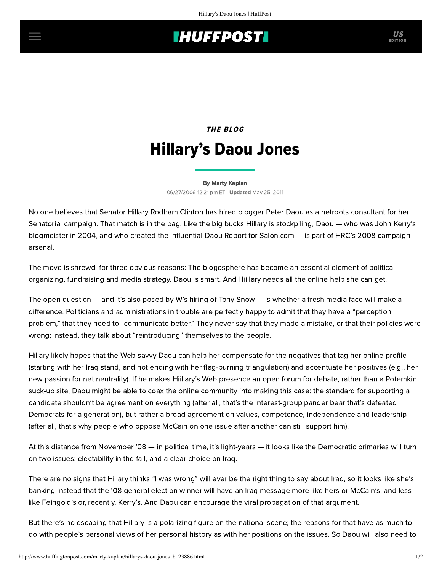## **THUFFPOST**

## THE BLOG Hillary's Daou Jones

[By Marty Kaplan](http://www.huffingtonpost.com/author/marty-kaplan) 06/27/2006 12:21 pm ET | Updated May 25, 2011

No one believes that Senator Hillary Rodham Clinton has hired blogger Peter Daou as a netroots consultant for her Senatorial campaign. That match is in the bag. Like the big bucks Hillary is stockpiling, Daou — who was John Kerry's blogmeister in 2004, and who created the influential Daou Report for Salon.com — is part of HRC's 2008 campaign arsenal.

The move is shrewd, for three obvious reasons: The blogosphere has become an essential element of political organizing, fundraising and media strategy. Daou is smart. And Hiillary needs all the online help she can get.

The open question — and it's also posed by W's hiring of Tony Snow — is whether a fresh media face will make a difference. Politicians and administrations in trouble are perfectly happy to admit that they have a "perception problem," that they need to "communicate better." They never say that they made a mistake, or that their policies were wrong; instead, they talk about "reintroducing" themselves to the people.

Hillary likely hopes that the Web-savvy Daou can help her compensate for the negatives that tag her online profile (starting with her Iraq stand, and not ending with her flag-burning triangulation) and accentuate her positives (e.g., her new passion for net neutrality). If he makes Hiillary's Web presence an open forum for debate, rather than a Potemkin suck-up site, Daou might be able to coax the online community into making this case: the standard for supporting a candidate shouldn't be agreement on everything (after all, that's the interest-group pander bear that's defeated Democrats for a generation), but rather a broad agreement on values, competence, independence and leadership (after all, that's why people who oppose McCain on one issue after another can still support him).

At this distance from November '08 — in political time, it's light-years — it looks like the Democratic primaries will turn on two issues: electability in the fall, and a clear choice on Iraq.

There are no signs that Hillary thinks "I was wrong" will ever be the right thing to say about Iraq, so it looks like she's banking instead that the '08 general election winner will have an Iraq message more like hers or McCain's, and less like Feingold's or, recently, Kerry's. And Daou can encourage the viral propagation of that argument.

But there's no escaping that Hillary is a polarizing figure on the national scene; the reasons for that have as much to do with people's personal views of her personal history as with her positions on the issues. So Daou will also need to